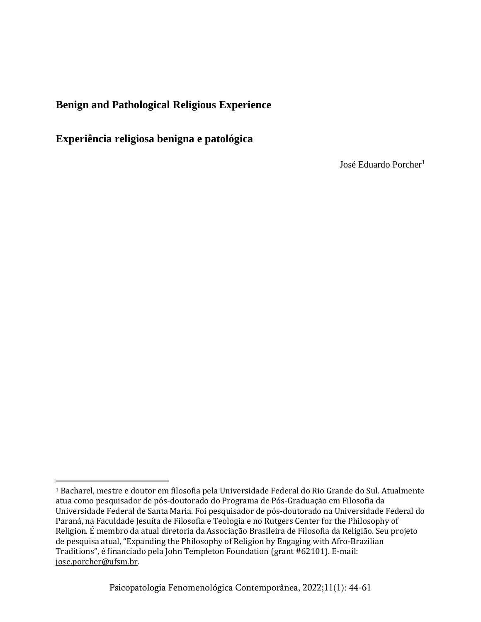# **Benign and Pathological Religious Experience**

**Experiência religiosa benigna e patológica**

José Eduardo Porcher<sup>1</sup>

<sup>1</sup> Bacharel, mestre e doutor em filosofia pela Universidade Federal do Rio Grande do Sul. Atualmente atua como pesquisador de pós-doutorado do Programa de Pós-Graduação em Filosofia da Universidade Federal de Santa Maria. Foi pesquisador de pós-doutorado na Universidade Federal do Paraná, na Faculdade Jesuíta de Filosofia e Teologia e no Rutgers Center for the Philosophy of Religion. É membro da atual diretoria da Associação Brasileira de Filosofia da Religião. Seu projeto de pesquisa atual, "Expanding the Philosophy of Religion by Engaging with Afro-Brazilian Traditions", é financiado pela John Templeton Foundation (grant #62101). E-mail: [jose.porcher@ufsm.br.](mailto:jose.porcher@ufsm.br)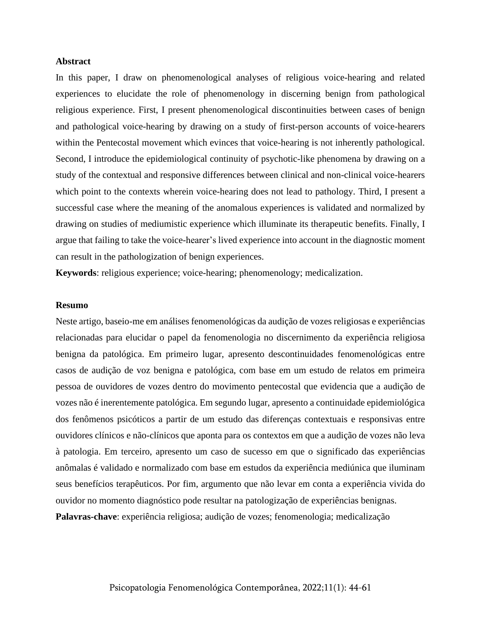#### **Abstract**

In this paper, I draw on phenomenological analyses of religious voice-hearing and related experiences to elucidate the role of phenomenology in discerning benign from pathological religious experience. First, I present phenomenological discontinuities between cases of benign and pathological voice-hearing by drawing on a study of first-person accounts of voice-hearers within the Pentecostal movement which evinces that voice-hearing is not inherently pathological. Second, I introduce the epidemiological continuity of psychotic-like phenomena by drawing on a study of the contextual and responsive differences between clinical and non-clinical voice-hearers which point to the contexts wherein voice-hearing does not lead to pathology. Third, I present a successful case where the meaning of the anomalous experiences is validated and normalized by drawing on studies of mediumistic experience which illuminate its therapeutic benefits. Finally, I argue that failing to take the voice-hearer's lived experience into account in the diagnostic moment can result in the pathologization of benign experiences.

**Keywords**: religious experience; voice-hearing; phenomenology; medicalization.

#### **Resumo**

Neste artigo, baseio-me em análises fenomenológicas da audição de vozes religiosas e experiências relacionadas para elucidar o papel da fenomenologia no discernimento da experiência religiosa benigna da patológica. Em primeiro lugar, apresento descontinuidades fenomenológicas entre casos de audição de voz benigna e patológica, com base em um estudo de relatos em primeira pessoa de ouvidores de vozes dentro do movimento pentecostal que evidencia que a audição de vozes não é inerentemente patológica. Em segundo lugar, apresento a continuidade epidemiológica dos fenômenos psicóticos a partir de um estudo das diferenças contextuais e responsivas entre ouvidores clínicos e não-clínicos que aponta para os contextos em que a audição de vozes não leva à patologia. Em terceiro, apresento um caso de sucesso em que o significado das experiências anômalas é validado e normalizado com base em estudos da experiência mediúnica que iluminam seus benefícios terapêuticos. Por fim, argumento que não levar em conta a experiência vivida do ouvidor no momento diagnóstico pode resultar na patologização de experiências benignas. **Palavras-chave**: experiência religiosa; audição de vozes; fenomenologia; medicalização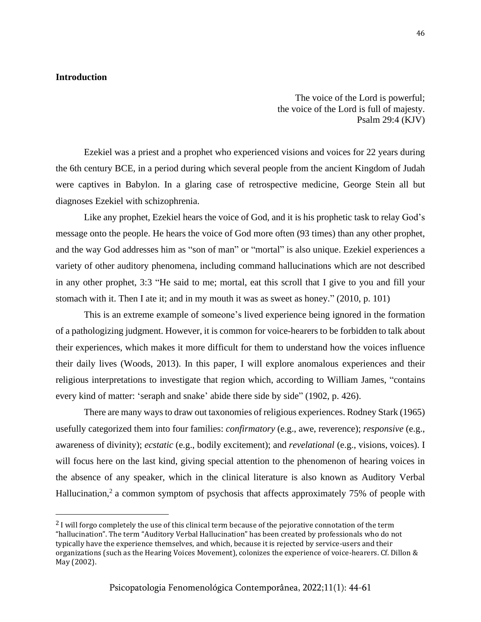## **Introduction**

The voice of the Lord is powerful; the voice of the Lord is full of majesty. Psalm 29:4 (KJV)

Ezekiel was a priest and a prophet who experienced visions and voices for 22 years during the 6th century BCE, in a period during which several people from the ancient Kingdom of Judah were captives in Babylon. In a glaring case of retrospective medicine, George Stein all but diagnoses Ezekiel with schizophrenia.

Like any prophet, Ezekiel hears the voice of God, and it is his prophetic task to relay God's message onto the people. He hears the voice of God more often (93 times) than any other prophet, and the way God addresses him as "son of man" or "mortal" is also unique. Ezekiel experiences a variety of other auditory phenomena, including command hallucinations which are not described in any other prophet, 3:3 "He said to me; mortal, eat this scroll that I give to you and fill your stomach with it. Then I ate it; and in my mouth it was as sweet as honey." (2010, p. 101)

This is an extreme example of someone's lived experience being ignored in the formation of a pathologizing judgment. However, it is common for voice-hearers to be forbidden to talk about their experiences, which makes it more difficult for them to understand how the voices influence their daily lives (Woods, 2013). In this paper, I will explore anomalous experiences and their religious interpretations to investigate that region which, according to William James, "contains every kind of matter: 'seraph and snake' abide there side by side" (1902, p. 426).

There are many waysto draw out taxonomies of religious experiences. Rodney Stark (1965) usefully categorized them into four families: *confirmatory* (e.g., awe, reverence); *responsive* (e.g., awareness of divinity); *ecstatic* (e.g., bodily excitement); and *revelational* (e.g., visions, voices). I will focus here on the last kind, giving special attention to the phenomenon of hearing voices in the absence of any speaker, which in the clinical literature is also known as Auditory Verbal Hallucination,<sup>2</sup> a common symptom of psychosis that affects approximately 75% of people with

<sup>&</sup>lt;sup>2</sup> I will forgo completely the use of this clinical term because of the pejorative connotation of the term "hallucination". The term "Auditory Verbal Hallucination" has been created by professionals who do not typically have the experience themselves, and which, because it is rejected by service-users and their organizations (such as the Hearing Voices Movement), colonizes the experience of voice-hearers. Cf. Dillon & May (2002).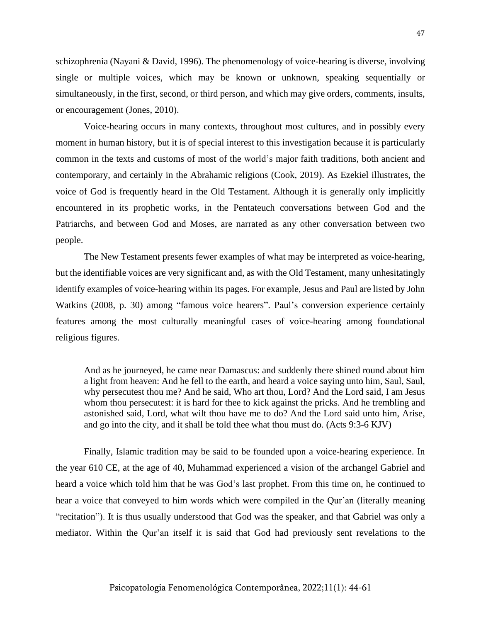schizophrenia (Nayani & David, 1996). The phenomenology of voice-hearing is diverse, involving single or multiple voices, which may be known or unknown, speaking sequentially or simultaneously, in the first, second, or third person, and which may give orders, comments, insults, or encouragement (Jones, 2010).

Voice-hearing occurs in many contexts, throughout most cultures, and in possibly every moment in human history, but it is of special interest to this investigation because it is particularly common in the texts and customs of most of the world's major faith traditions, both ancient and contemporary, and certainly in the Abrahamic religions (Cook, 2019). As Ezekiel illustrates, the voice of God is frequently heard in the Old Testament. Although it is generally only implicitly encountered in its prophetic works, in the Pentateuch conversations between God and the Patriarchs, and between God and Moses, are narrated as any other conversation between two people.

The New Testament presents fewer examples of what may be interpreted as voice-hearing, but the identifiable voices are very significant and, as with the Old Testament, many unhesitatingly identify examples of voice-hearing within its pages. For example, Jesus and Paul are listed by John Watkins (2008, p. 30) among "famous voice hearers". Paul's conversion experience certainly features among the most culturally meaningful cases of voice-hearing among foundational religious figures.

And as he journeyed, he came near Damascus: and suddenly there shined round about him a light from heaven: And he fell to the earth, and heard a voice saying unto him, Saul, Saul, why persecutest thou me? And he said, Who art thou, Lord? And the Lord said, I am Jesus whom thou persecutest: it is hard for thee to kick against the pricks. And he trembling and astonished said, Lord, what wilt thou have me to do? And the Lord said unto him, Arise, and go into the city, and it shall be told thee what thou must do. (Acts 9:3-6 KJV)

Finally, Islamic tradition may be said to be founded upon a voice-hearing experience. In the year 610 CE, at the age of 40, Muhammad experienced a vision of the archangel Gabriel and heard a voice which told him that he was God's last prophet. From this time on, he continued to hear a voice that conveyed to him words which were compiled in the Qur'an (literally meaning "recitation"). It is thus usually understood that God was the speaker, and that Gabriel was only a mediator. Within the Qur'an itself it is said that God had previously sent revelations to the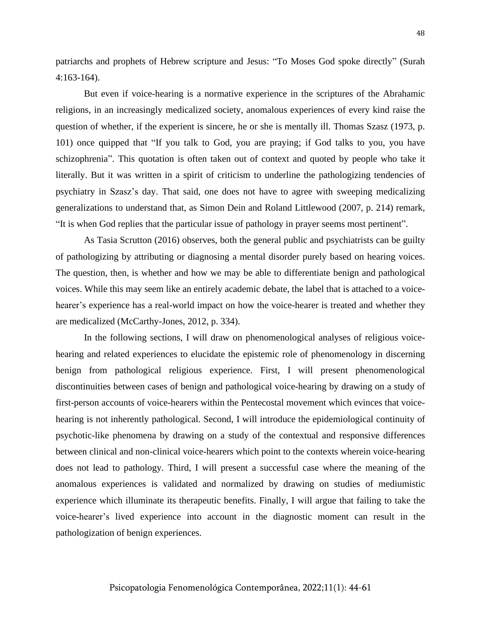patriarchs and prophets of Hebrew scripture and Jesus: "To Moses God spoke directly" (Surah 4:163-164).

But even if voice-hearing is a normative experience in the scriptures of the Abrahamic religions, in an increasingly medicalized society, anomalous experiences of every kind raise the question of whether, if the experient is sincere, he or she is mentally ill. Thomas Szasz (1973, p. 101) once quipped that "If you talk to God, you are praying; if God talks to you, you have schizophrenia". This quotation is often taken out of context and quoted by people who take it literally. But it was written in a spirit of criticism to underline the pathologizing tendencies of psychiatry in Szasz's day. That said, one does not have to agree with sweeping medicalizing generalizations to understand that, as Simon Dein and Roland Littlewood (2007, p. 214) remark, "It is when God replies that the particular issue of pathology in prayer seems most pertinent".

As Tasia Scrutton (2016) observes, both the general public and psychiatrists can be guilty of pathologizing by attributing or diagnosing a mental disorder purely based on hearing voices. The question, then, is whether and how we may be able to differentiate benign and pathological voices. While this may seem like an entirely academic debate, the label that is attached to a voicehearer's experience has a real-world impact on how the voice-hearer is treated and whether they are medicalized (McCarthy-Jones, 2012, p. 334).

In the following sections, I will draw on phenomenological analyses of religious voicehearing and related experiences to elucidate the epistemic role of phenomenology in discerning benign from pathological religious experience. First, I will present phenomenological discontinuities between cases of benign and pathological voice-hearing by drawing on a study of first-person accounts of voice-hearers within the Pentecostal movement which evinces that voicehearing is not inherently pathological. Second, I will introduce the epidemiological continuity of psychotic-like phenomena by drawing on a study of the contextual and responsive differences between clinical and non-clinical voice-hearers which point to the contexts wherein voice-hearing does not lead to pathology. Third, I will present a successful case where the meaning of the anomalous experiences is validated and normalized by drawing on studies of mediumistic experience which illuminate its therapeutic benefits. Finally, I will argue that failing to take the voice-hearer's lived experience into account in the diagnostic moment can result in the pathologization of benign experiences.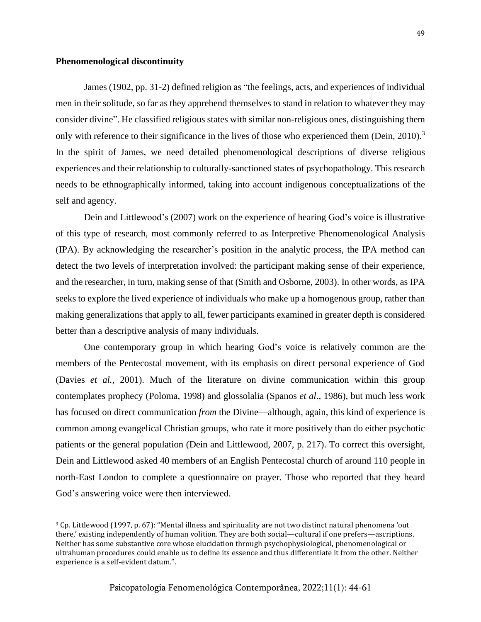#### **Phenomenological discontinuity**

James (1902, pp. 31-2) defined religion as "the feelings, acts, and experiences of individual men in their solitude, so far as they apprehend themselves to stand in relation to whatever they may consider divine". He classified religious states with similar non-religious ones, distinguishing them only with reference to their significance in the lives of those who experienced them (Dein, 2010).<sup>3</sup> In the spirit of James, we need detailed phenomenological descriptions of diverse religious experiences and their relationship to culturally-sanctioned states of psychopathology. This research needs to be ethnographically informed, taking into account indigenous conceptualizations of the self and agency.

Dein and Littlewood's (2007) work on the experience of hearing God's voice is illustrative of this type of research, most commonly referred to as Interpretive Phenomenological Analysis (IPA). By acknowledging the researcher's position in the analytic process, the IPA method can detect the two levels of interpretation involved: the participant making sense of their experience, and the researcher, in turn, making sense of that (Smith and Osborne, 2003). In other words, as IPA seeks to explore the lived experience of individuals who make up a homogenous group, rather than making generalizations that apply to all, fewer participants examined in greater depth is considered better than a descriptive analysis of many individuals.

One contemporary group in which hearing God's voice is relatively common are the members of the Pentecostal movement, with its emphasis on direct personal experience of God (Davies *et al.*, 2001). Much of the literature on divine communication within this group contemplates prophecy (Poloma, 1998) and glossolalia (Spanos *et al*., 1986), but much less work has focused on direct communication *from* the Divine—although, again, this kind of experience is common among evangelical Christian groups, who rate it more positively than do either psychotic patients or the general population (Dein and Littlewood, 2007, p. 217). To correct this oversight, Dein and Littlewood asked 40 members of an English Pentecostal church of around 110 people in north-East London to complete a questionnaire on prayer. Those who reported that they heard God's answering voice were then interviewed.

<sup>3</sup> Cp. Littlewood (1997, p. 67): "Mental illness and spirituality are not two distinct natural phenomena 'out there,' existing independently of human volition. They are both social—cultural if one prefers—ascriptions. Neither has some substantive core whose elucidation through psychophysiological, phenomenological or ultrahuman procedures could enable us to define its essence and thus differentiate it from the other. Neither experience is a self-evident datum.".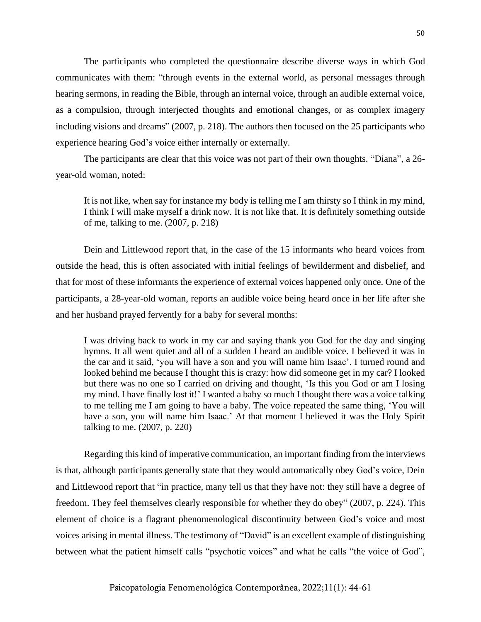The participants who completed the questionnaire describe diverse ways in which God communicates with them: "through events in the external world, as personal messages through hearing sermons, in reading the Bible, through an internal voice, through an audible external voice, as a compulsion, through interjected thoughts and emotional changes, or as complex imagery including visions and dreams" (2007, p. 218). The authors then focused on the 25 participants who experience hearing God's voice either internally or externally.

The participants are clear that this voice was not part of their own thoughts. "Diana", a 26 year-old woman, noted:

It is not like, when say for instance my body is telling me I am thirsty so I think in my mind, I think I will make myself a drink now. It is not like that. It is definitely something outside of me, talking to me. (2007, p. 218)

Dein and Littlewood report that, in the case of the 15 informants who heard voices from outside the head, this is often associated with initial feelings of bewilderment and disbelief, and that for most of these informants the experience of external voices happened only once. One of the participants, a 28-year-old woman, reports an audible voice being heard once in her life after she and her husband prayed fervently for a baby for several months:

I was driving back to work in my car and saying thank you God for the day and singing hymns. It all went quiet and all of a sudden I heard an audible voice. I believed it was in the car and it said, 'you will have a son and you will name him Isaac'. I turned round and looked behind me because I thought this is crazy: how did someone get in my car? I looked but there was no one so I carried on driving and thought, 'Is this you God or am I losing my mind. I have finally lost it!' I wanted a baby so much I thought there was a voice talking to me telling me I am going to have a baby. The voice repeated the same thing, 'You will have a son, you will name him Isaac.' At that moment I believed it was the Holy Spirit talking to me. (2007, p. 220)

Regarding this kind of imperative communication, an important finding from the interviews is that, although participants generally state that they would automatically obey God's voice, Dein and Littlewood report that "in practice, many tell us that they have not: they still have a degree of freedom. They feel themselves clearly responsible for whether they do obey" (2007, p. 224). This element of choice is a flagrant phenomenological discontinuity between God's voice and most voices arising in mental illness. The testimony of "David" is an excellent example of distinguishing between what the patient himself calls "psychotic voices" and what he calls "the voice of God",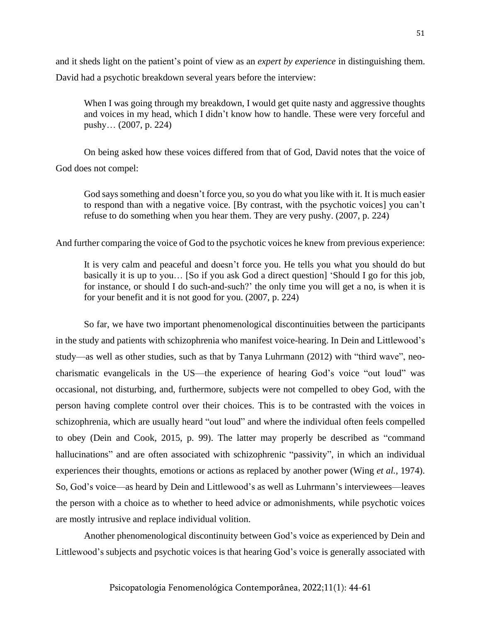and it sheds light on the patient's point of view as an *expert by experience* in distinguishing them. David had a psychotic breakdown several years before the interview:

When I was going through my breakdown, I would get quite nasty and aggressive thoughts and voices in my head, which I didn't know how to handle. These were very forceful and pushy… (2007, p. 224)

On being asked how these voices differed from that of God, David notes that the voice of God does not compel:

God says something and doesn't force you, so you do what you like with it. It is much easier to respond than with a negative voice. [By contrast, with the psychotic voices] you can't refuse to do something when you hear them. They are very pushy. (2007, p. 224)

And further comparing the voice of God to the psychotic voices he knew from previous experience:

It is very calm and peaceful and doesn't force you. He tells you what you should do but basically it is up to you… [So if you ask God a direct question] 'Should I go for this job, for instance, or should I do such-and-such?' the only time you will get a no, is when it is for your benefit and it is not good for you. (2007, p. 224)

So far, we have two important phenomenological discontinuities between the participants in the study and patients with schizophrenia who manifest voice-hearing. In Dein and Littlewood's study—as well as other studies, such as that by Tanya Luhrmann (2012) with "third wave", neocharismatic evangelicals in the US—the experience of hearing God's voice "out loud" was occasional, not disturbing, and, furthermore, subjects were not compelled to obey God, with the person having complete control over their choices. This is to be contrasted with the voices in schizophrenia, which are usually heard "out loud" and where the individual often feels compelled to obey (Dein and Cook, 2015, p. 99). The latter may properly be described as "command hallucinations" and are often associated with schizophrenic "passivity", in which an individual experiences their thoughts, emotions or actions as replaced by another power (Wing *et al.*, 1974). So, God's voice—as heard by Dein and Littlewood's as well as Luhrmann's interviewees—leaves the person with a choice as to whether to heed advice or admonishments, while psychotic voices are mostly intrusive and replace individual volition.

Another phenomenological discontinuity between God's voice as experienced by Dein and Littlewood's subjects and psychotic voices is that hearing God's voice is generally associated with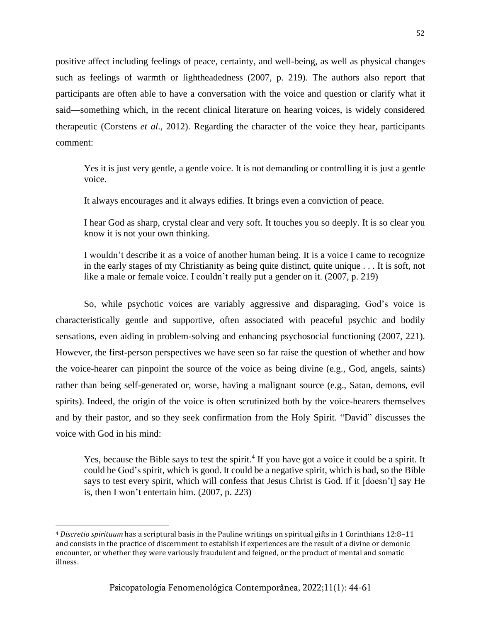positive affect including feelings of peace, certainty, and well-being, as well as physical changes such as feelings of warmth or lightheadedness (2007, p. 219). The authors also report that participants are often able to have a conversation with the voice and question or clarify what it said—something which, in the recent clinical literature on hearing voices, is widely considered therapeutic (Corstens *et al*., 2012). Regarding the character of the voice they hear, participants comment:

Yes it is just very gentle, a gentle voice. It is not demanding or controlling it is just a gentle voice.

It always encourages and it always edifies. It brings even a conviction of peace.

I hear God as sharp, crystal clear and very soft. It touches you so deeply. It is so clear you know it is not your own thinking.

I wouldn't describe it as a voice of another human being. It is a voice I came to recognize in the early stages of my Christianity as being quite distinct, quite unique . . . It is soft, not like a male or female voice. I couldn't really put a gender on it. (2007, p. 219)

So, while psychotic voices are variably aggressive and disparaging, God's voice is characteristically gentle and supportive, often associated with peaceful psychic and bodily sensations, even aiding in problem-solving and enhancing psychosocial functioning (2007, 221). However, the first-person perspectives we have seen so far raise the question of whether and how the voice-hearer can pinpoint the source of the voice as being divine (e.g., God, angels, saints) rather than being self-generated or, worse, having a malignant source (e.g., Satan, demons, evil spirits). Indeed, the origin of the voice is often scrutinized both by the voice-hearers themselves and by their pastor, and so they seek confirmation from the Holy Spirit. "David" discusses the voice with God in his mind:

Yes, because the Bible says to test the spirit.<sup>4</sup> If you have got a voice it could be a spirit. It could be God's spirit, which is good. It could be a negative spirit, which is bad, so the Bible says to test every spirit, which will confess that Jesus Christ is God. If it [doesn't] say He is, then I won't entertain him. (2007, p. 223)

<sup>4</sup> *Discretio spirituum* has a scriptural basis in the Pauline writings on spiritual gifts in 1 Corinthians 12:8–11 and consists in the practice of discernment to establish if experiences are the result of a divine or demonic encounter, or whether they were variously fraudulent and feigned, or the product of mental and somatic illness.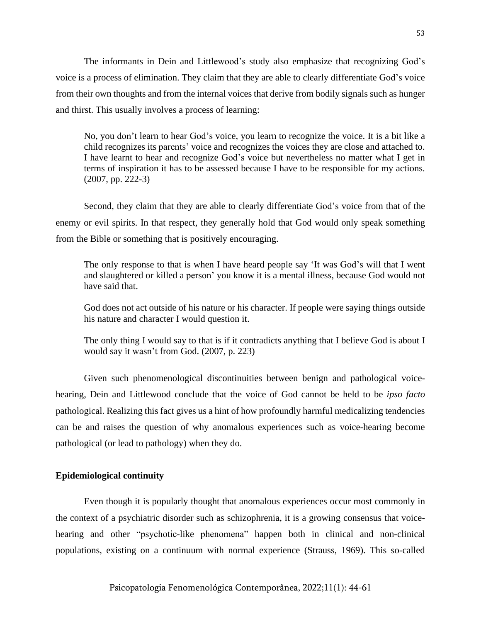The informants in Dein and Littlewood's study also emphasize that recognizing God's voice is a process of elimination. They claim that they are able to clearly differentiate God's voice from their own thoughts and from the internal voices that derive from bodily signals such as hunger and thirst. This usually involves a process of learning:

No, you don't learn to hear God's voice, you learn to recognize the voice. It is a bit like a child recognizes its parents' voice and recognizes the voices they are close and attached to. I have learnt to hear and recognize God's voice but nevertheless no matter what I get in terms of inspiration it has to be assessed because I have to be responsible for my actions. (2007, pp. 222-3)

Second, they claim that they are able to clearly differentiate God's voice from that of the enemy or evil spirits. In that respect, they generally hold that God would only speak something from the Bible or something that is positively encouraging.

The only response to that is when I have heard people say 'It was God's will that I went and slaughtered or killed a person' you know it is a mental illness, because God would not have said that.

God does not act outside of his nature or his character. If people were saying things outside his nature and character I would question it.

The only thing I would say to that is if it contradicts anything that I believe God is about I would say it wasn't from God. (2007, p. 223)

Given such phenomenological discontinuities between benign and pathological voicehearing, Dein and Littlewood conclude that the voice of God cannot be held to be *ipso facto* pathological. Realizing this fact gives us a hint of how profoundly harmful medicalizing tendencies can be and raises the question of why anomalous experiences such as voice-hearing become pathological (or lead to pathology) when they do.

# **Epidemiological continuity**

Even though it is popularly thought that anomalous experiences occur most commonly in the context of a psychiatric disorder such as schizophrenia, it is a growing consensus that voicehearing and other "psychotic-like phenomena" happen both in clinical and non-clinical populations, existing on a continuum with normal experience (Strauss, 1969). This so-called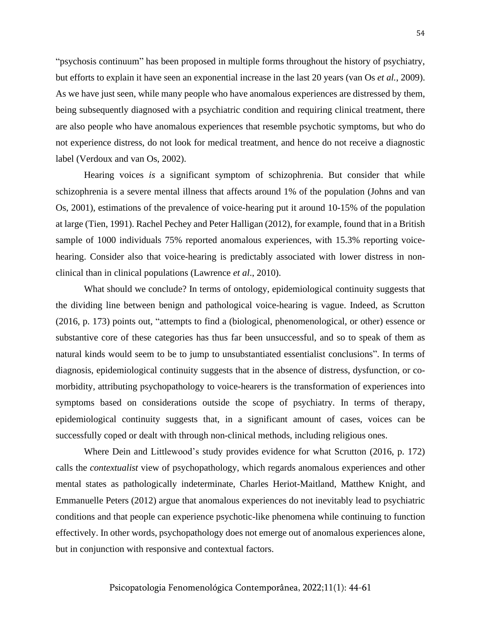"psychosis continuum" has been proposed in multiple forms throughout the history of psychiatry, but efforts to explain it have seen an exponential increase in the last 20 years (van Os *et al.*, 2009). As we have just seen, while many people who have anomalous experiences are distressed by them, being subsequently diagnosed with a psychiatric condition and requiring clinical treatment, there are also people who have anomalous experiences that resemble psychotic symptoms, but who do not experience distress, do not look for medical treatment, and hence do not receive a diagnostic label (Verdoux and van Os, 2002).

Hearing voices *is* a significant symptom of schizophrenia. But consider that while schizophrenia is a severe mental illness that affects around 1% of the population (Johns and van Os, 2001), estimations of the prevalence of voice-hearing put it around 10-15% of the population at large (Tien, 1991). Rachel Pechey and Peter Halligan (2012), for example, found that in a British sample of 1000 individuals 75% reported anomalous experiences, with 15.3% reporting voicehearing. Consider also that voice-hearing is predictably associated with lower distress in nonclinical than in clinical populations (Lawrence *et al*., 2010).

What should we conclude? In terms of ontology, epidemiological continuity suggests that the dividing line between benign and pathological voice-hearing is vague. Indeed, as Scrutton (2016, p. 173) points out, "attempts to find a (biological, phenomenological, or other) essence or substantive core of these categories has thus far been unsuccessful, and so to speak of them as natural kinds would seem to be to jump to unsubstantiated essentialist conclusions". In terms of diagnosis, epidemiological continuity suggests that in the absence of distress, dysfunction, or comorbidity, attributing psychopathology to voice-hearers is the transformation of experiences into symptoms based on considerations outside the scope of psychiatry. In terms of therapy, epidemiological continuity suggests that, in a significant amount of cases, voices can be successfully coped or dealt with through non-clinical methods, including religious ones.

Where Dein and Littlewood's study provides evidence for what Scrutton (2016, p. 172) calls the *contextualist* view of psychopathology, which regards anomalous experiences and other mental states as pathologically indeterminate, Charles Heriot-Maitland, Matthew Knight, and Emmanuelle Peters (2012) argue that anomalous experiences do not inevitably lead to psychiatric conditions and that people can experience psychotic-like phenomena while continuing to function effectively. In other words, psychopathology does not emerge out of anomalous experiences alone, but in conjunction with responsive and contextual factors.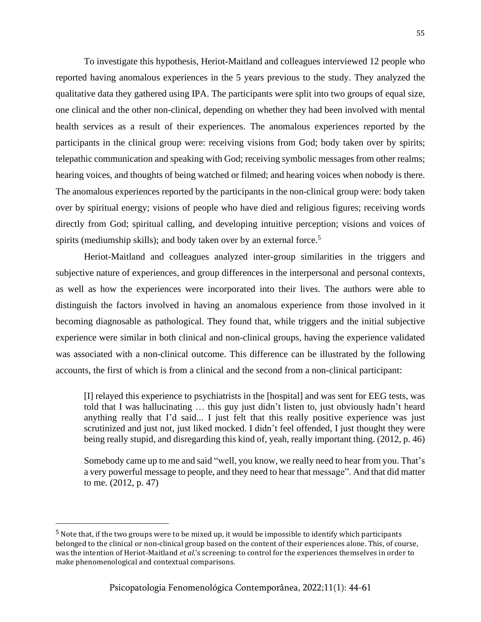To investigate this hypothesis, Heriot-Maitland and colleagues interviewed 12 people who reported having anomalous experiences in the 5 years previous to the study. They analyzed the qualitative data they gathered using IPA. The participants were split into two groups of equal size, one clinical and the other non-clinical, depending on whether they had been involved with mental health services as a result of their experiences. The anomalous experiences reported by the participants in the clinical group were: receiving visions from God; body taken over by spirits; telepathic communication and speaking with God; receiving symbolic messages from other realms; hearing voices, and thoughts of being watched or filmed; and hearing voices when nobody is there. The anomalous experiences reported by the participants in the non-clinical group were: body taken over by spiritual energy; visions of people who have died and religious figures; receiving words directly from God; spiritual calling, and developing intuitive perception; visions and voices of spirits (mediumship skills); and body taken over by an external force.<sup>5</sup>

Heriot-Maitland and colleagues analyzed inter-group similarities in the triggers and subjective nature of experiences, and group differences in the interpersonal and personal contexts, as well as how the experiences were incorporated into their lives. The authors were able to distinguish the factors involved in having an anomalous experience from those involved in it becoming diagnosable as pathological. They found that, while triggers and the initial subjective experience were similar in both clinical and non-clinical groups, having the experience validated was associated with a non-clinical outcome. This difference can be illustrated by the following accounts, the first of which is from a clinical and the second from a non-clinical participant:

[I] relayed this experience to psychiatrists in the [hospital] and was sent for EEG tests, was told that I was hallucinating … this guy just didn't listen to, just obviously hadn't heard anything really that I'd said... I just felt that this really positive experience was just scrutinized and just not, just liked mocked. I didn't feel offended, I just thought they were being really stupid, and disregarding this kind of, yeah, really important thing. (2012, p. 46)

Somebody came up to me and said "well, you know, we really need to hear from you. That's a very powerful message to people, and they need to hear that message". And that did matter to me. (2012, p. 47)

<sup>5</sup> Note that, if the two groups were to be mixed up, it would be impossible to identify which participants belonged to the clinical or non-clinical group based on the content of their experiences alone. This, of course, was the intention of Heriot-Maitland *et al*.'s screening: to control for the experiences themselves in order to make phenomenological and contextual comparisons.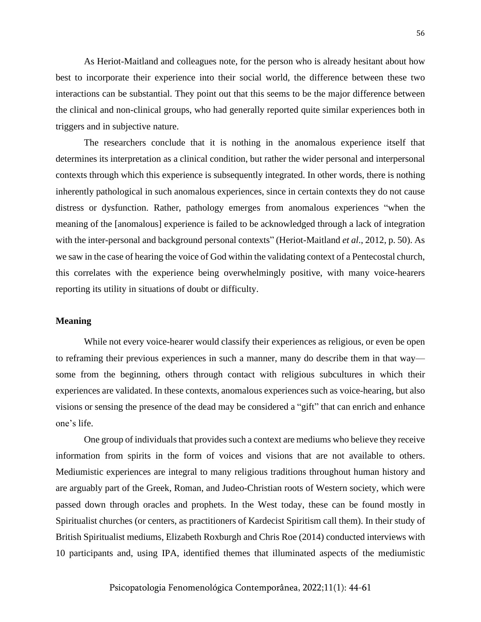As Heriot-Maitland and colleagues note, for the person who is already hesitant about how best to incorporate their experience into their social world, the difference between these two interactions can be substantial. They point out that this seems to be the major difference between the clinical and non-clinical groups, who had generally reported quite similar experiences both in triggers and in subjective nature.

The researchers conclude that it is nothing in the anomalous experience itself that determines its interpretation as a clinical condition, but rather the wider personal and interpersonal contexts through which this experience is subsequently integrated. In other words, there is nothing inherently pathological in such anomalous experiences, since in certain contexts they do not cause distress or dysfunction. Rather, pathology emerges from anomalous experiences "when the meaning of the [anomalous] experience is failed to be acknowledged through a lack of integration with the inter-personal and background personal contexts" (Heriot-Maitland *et al*., 2012, p. 50). As we saw in the case of hearing the voice of God within the validating context of a Pentecostal church, this correlates with the experience being overwhelmingly positive, with many voice-hearers reporting its utility in situations of doubt or difficulty.

#### **Meaning**

While not every voice-hearer would classify their experiences as religious, or even be open to reframing their previous experiences in such a manner, many do describe them in that way some from the beginning, others through contact with religious subcultures in which their experiences are validated. In these contexts, anomalous experiences such as voice-hearing, but also visions or sensing the presence of the dead may be considered a "gift" that can enrich and enhance one's life.

One group of individuals that provides such a context are mediums who believe they receive information from spirits in the form of voices and visions that are not available to others. Mediumistic experiences are integral to many religious traditions throughout human history and are arguably part of the Greek, Roman, and Judeo-Christian roots of Western society, which were passed down through oracles and prophets. In the West today, these can be found mostly in Spiritualist churches (or centers, as practitioners of Kardecist Spiritism call them). In their study of British Spiritualist mediums, Elizabeth Roxburgh and Chris Roe (2014) conducted interviews with 10 participants and, using IPA, identified themes that illuminated aspects of the mediumistic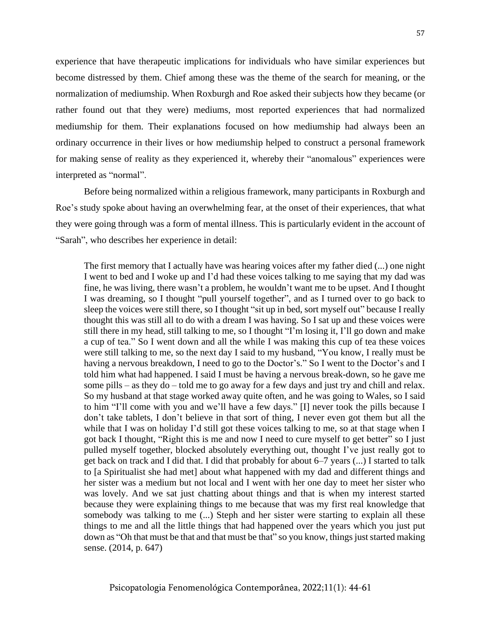experience that have therapeutic implications for individuals who have similar experiences but become distressed by them. Chief among these was the theme of the search for meaning, or the normalization of mediumship. When Roxburgh and Roe asked their subjects how they became (or rather found out that they were) mediums, most reported experiences that had normalized mediumship for them. Their explanations focused on how mediumship had always been an ordinary occurrence in their lives or how mediumship helped to construct a personal framework for making sense of reality as they experienced it, whereby their "anomalous" experiences were interpreted as "normal".

Before being normalized within a religious framework, many participants in Roxburgh and Roe's study spoke about having an overwhelming fear, at the onset of their experiences, that what they were going through was a form of mental illness. This is particularly evident in the account of "Sarah", who describes her experience in detail:

The first memory that I actually have was hearing voices after my father died (...) one night I went to bed and I woke up and I'd had these voices talking to me saying that my dad was fine, he was living, there wasn't a problem, he wouldn't want me to be upset. And I thought I was dreaming, so I thought "pull yourself together", and as I turned over to go back to sleep the voices were still there, so I thought "sit up in bed, sort myself out" because I really thought this was still all to do with a dream I was having. So I sat up and these voices were still there in my head, still talking to me, so I thought "I'm losing it, I'll go down and make a cup of tea." So I went down and all the while I was making this cup of tea these voices were still talking to me, so the next day I said to my husband, "You know, I really must be having a nervous breakdown, I need to go to the Doctor's." So I went to the Doctor's and I told him what had happened. I said I must be having a nervous break-down, so he gave me some pills – as they do – told me to go away for a few days and just try and chill and relax. So my husband at that stage worked away quite often, and he was going to Wales, so I said to him "I'll come with you and we'll have a few days." [I] never took the pills because I don't take tablets, I don't believe in that sort of thing, I never even got them but all the while that I was on holiday I'd still got these voices talking to me, so at that stage when I got back I thought, "Right this is me and now I need to cure myself to get better" so I just pulled myself together, blocked absolutely everything out, thought I've just really got to get back on track and I did that. I did that probably for about 6–7 years (...) I started to talk to [a Spiritualist she had met] about what happened with my dad and different things and her sister was a medium but not local and I went with her one day to meet her sister who was lovely. And we sat just chatting about things and that is when my interest started because they were explaining things to me because that was my first real knowledge that somebody was talking to me (...) Steph and her sister were starting to explain all these things to me and all the little things that had happened over the years which you just put down as "Oh that must be that and that must be that" so you know, things just started making sense. (2014, p. 647)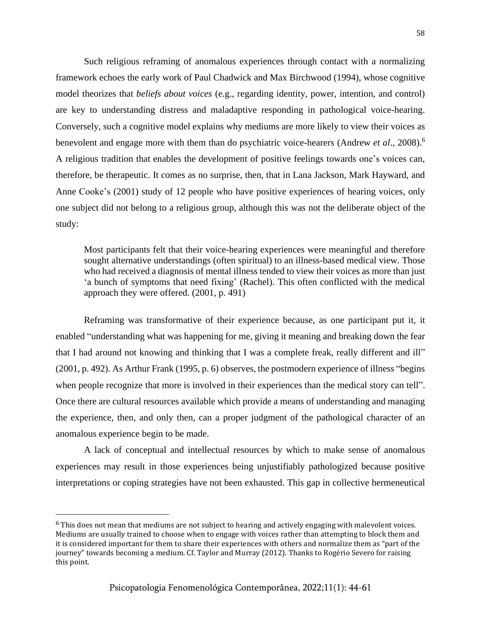Such religious reframing of anomalous experiences through contact with a normalizing framework echoes the early work of Paul Chadwick and Max Birchwood (1994), whose cognitive model theorizes that *beliefs about voices* (e.g., regarding identity, power, intention, and control) are key to understanding distress and maladaptive responding in pathological voice-hearing. Conversely, such a cognitive model explains why mediums are more likely to view their voices as benevolent and engage more with them than do psychiatric voice-hearers (Andrew *et al*., 2008).<sup>6</sup> A religious tradition that enables the development of positive feelings towards one's voices can, therefore, be therapeutic. It comes as no surprise, then, that in Lana Jackson, Mark Hayward, and Anne Cooke's (2001) study of 12 people who have positive experiences of hearing voices, only one subject did not belong to a religious group, although this was not the deliberate object of the study:

Most participants felt that their voice-hearing experiences were meaningful and therefore sought alternative understandings (often spiritual) to an illness-based medical view. Those who had received a diagnosis of mental illness tended to view their voices as more than just 'a bunch of symptoms that need fixing' (Rachel). This often conflicted with the medical approach they were offered. (2001, p. 491)

Reframing was transformative of their experience because, as one participant put it, it enabled "understanding what was happening for me, giving it meaning and breaking down the fear that I had around not knowing and thinking that I was a complete freak, really different and ill" (2001, p. 492). As Arthur Frank (1995, p. 6) observes, the postmodern experience of illness "begins when people recognize that more is involved in their experiences than the medical story can tell". Once there are cultural resources available which provide a means of understanding and managing the experience, then, and only then, can a proper judgment of the pathological character of an anomalous experience begin to be made.

A lack of conceptual and intellectual resources by which to make sense of anomalous experiences may result in those experiences being unjustifiably pathologized because positive interpretations or coping strategies have not been exhausted. This gap in collective hermeneutical

 $6$  This does not mean that mediums are not subject to hearing and actively engaging with malevolent voices. Mediums are usually trained to choose when to engage with voices rather than attempting to block them and it is considered important for them to share their experiences with others and normalize them as "part of the journey" towards becoming a medium. Cf. Taylor and Murray (2012). Thanks to Rogério Severo for raising this point.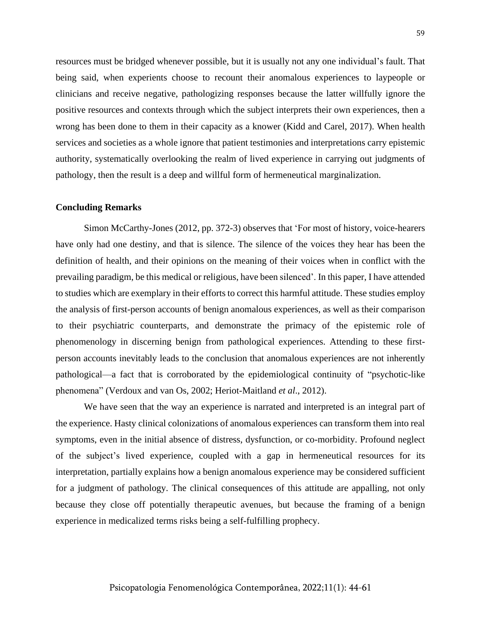resources must be bridged whenever possible, but it is usually not any one individual's fault. That being said, when experients choose to recount their anomalous experiences to laypeople or clinicians and receive negative, pathologizing responses because the latter willfully ignore the positive resources and contexts through which the subject interprets their own experiences, then a wrong has been done to them in their capacity as a knower (Kidd and Carel, 2017). When health services and societies as a whole ignore that patient testimonies and interpretations carry epistemic authority, systematically overlooking the realm of lived experience in carrying out judgments of pathology, then the result is a deep and willful form of hermeneutical marginalization.

#### **Concluding Remarks**

Simon McCarthy-Jones (2012, pp. 372-3) observes that 'For most of history, voice-hearers have only had one destiny, and that is silence. The silence of the voices they hear has been the definition of health, and their opinions on the meaning of their voices when in conflict with the prevailing paradigm, be this medical or religious, have been silenced'. In this paper, I have attended to studies which are exemplary in their efforts to correct this harmful attitude. These studies employ the analysis of first-person accounts of benign anomalous experiences, as well as their comparison to their psychiatric counterparts, and demonstrate the primacy of the epistemic role of phenomenology in discerning benign from pathological experiences. Attending to these firstperson accounts inevitably leads to the conclusion that anomalous experiences are not inherently pathological—a fact that is corroborated by the epidemiological continuity of "psychotic-like phenomena" (Verdoux and van Os, 2002; Heriot-Maitland *et al*., 2012).

We have seen that the way an experience is narrated and interpreted is an integral part of the experience. Hasty clinical colonizations of anomalous experiences can transform them into real symptoms, even in the initial absence of distress, dysfunction, or co-morbidity. Profound neglect of the subject's lived experience, coupled with a gap in hermeneutical resources for its interpretation, partially explains how a benign anomalous experience may be considered sufficient for a judgment of pathology. The clinical consequences of this attitude are appalling, not only because they close off potentially therapeutic avenues, but because the framing of a benign experience in medicalized terms risks being a self-fulfilling prophecy.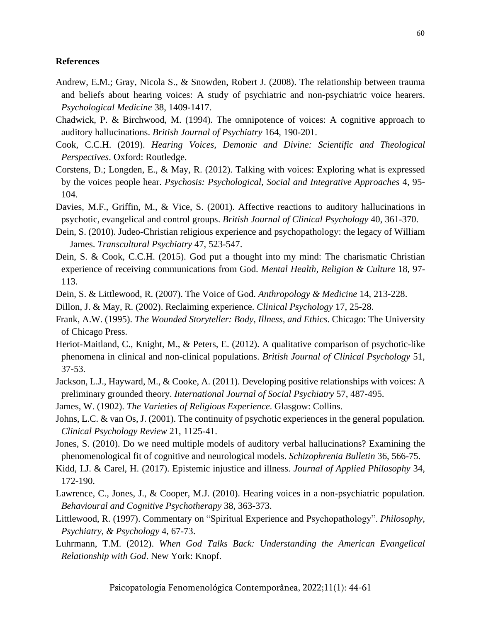## **References**

- Andrew, E.M.; Gray, Nicola S., & Snowden, Robert J. (2008). The relationship between trauma and beliefs about hearing voices: A study of psychiatric and non-psychiatric voice hearers. *Psychological Medicine* 38, 1409-1417.
- Chadwick, P. & Birchwood, M. (1994). The omnipotence of voices: A cognitive approach to auditory hallucinations. *British Journal of Psychiatry* 164, 190-201.
- Cook, C.C.H. (2019). *Hearing Voices, Demonic and Divine: Scientific and Theological Perspectives*. Oxford: Routledge.
- Corstens, D.; Longden, E., & May, R. (2012). Talking with voices: Exploring what is expressed by the voices people hear. *Psychosis: Psychological, Social and Integrative Approaches* 4, 95- 104.
- Davies, M.F., Griffin, M., & Vice, S. (2001). Affective reactions to auditory hallucinations in psychotic, evangelical and control groups. *British Journal of Clinical Psychology* 40, 361-370.
- Dein, S. (2010). Judeo-Christian religious experience and psychopathology: the legacy of William James. *Transcultural Psychiatry* 47, 523-547.
- Dein, S. & Cook, C.C.H. (2015). God put a thought into my mind: The charismatic Christian experience of receiving communications from God. *Mental Health, Religion & Culture* 18, 97- 113.
- Dein, S. & Littlewood, R. (2007). The Voice of God. *Anthropology & Medicine* 14, 213-228.
- Dillon, J. & May, R. (2002). Reclaiming experience. *Clinical Psychology* 17, 25-28.
- Frank, A.W. (1995). *The Wounded Storyteller: Body, Illness, and Ethics*. Chicago: The University of Chicago Press.
- Heriot-Maitland, C., Knight, M., & Peters, E. (2012). A qualitative comparison of psychotic-like phenomena in clinical and non-clinical populations. *British Journal of Clinical Psychology* 51, 37-53.
- Jackson, L.J., Hayward, M., & Cooke, A. (2011). Developing positive relationships with voices: A preliminary grounded theory. *International Journal of Social Psychiatry* 57, 487-495.
- James, W. (1902). *The Varieties of Religious Experience*. Glasgow: Collins.
- Johns, L.C. & van Os, J. (2001). The continuity of psychotic experiences in the general population. *Clinical Psychology Review* 21, 1125-41.
- Jones, S. (2010). Do we need multiple models of auditory verbal hallucinations? Examining the phenomenological fit of cognitive and neurological models. *Schizophrenia Bulletin* 36, 566-75.
- Kidd, I.J. & Carel, H. (2017). Epistemic injustice and illness. *Journal of Applied Philosophy* 34, 172-190.
- Lawrence, C., Jones, J., & Cooper, M.J. (2010). Hearing voices in a non-psychiatric population. *Behavioural and Cognitive Psychotherapy* 38, 363-373.
- Littlewood, R. (1997). Commentary on "Spiritual Experience and Psychopathology". *Philosophy, Psychiatry, & Psychology* 4, 67-73.
- Luhrmann, T.M. (2012). *When God Talks Back: Understanding the American Evangelical Relationship with God*. New York: Knopf.